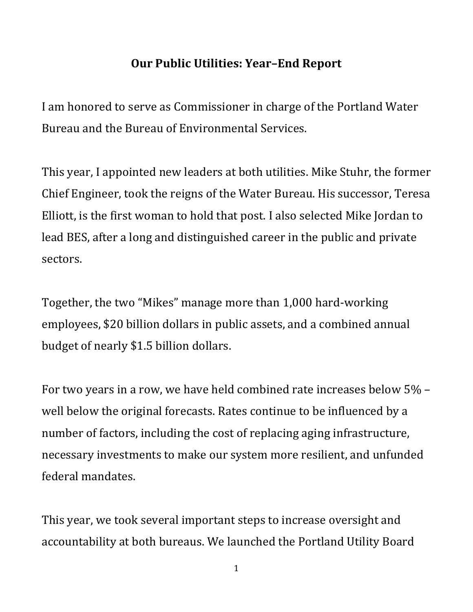## **Our Public Utilities: Year–End Report**

I am honored to serve as Commissioner in charge of the Portland Water Bureau and the Bureau of Environmental Services.

This year, I appointed new leaders at both utilities. Mike Stuhr, the former Chief Engineer, took the reigns of the Water Bureau. His successor, Teresa Elliott, is the first woman to hold that post. I also selected Mike Jordan to lead BES, after a long and distinguished career in the public and private sectors.

Together, the two "Mikes" manage more than 1,000 hard-working employees, \$20 billion dollars in public assets, and a combined annual budget of nearly \$1.5 billion dollars.

For two years in a row, we have held combined rate increases below 5% – well below the original forecasts. Rates continue to be influenced by a number of factors, including the cost of replacing aging infrastructure, necessary investments to make our system more resilient, and unfunded federal mandates.

This year, we took several important steps to increase oversight and accountability at both bureaus. We launched the Portland Utility Board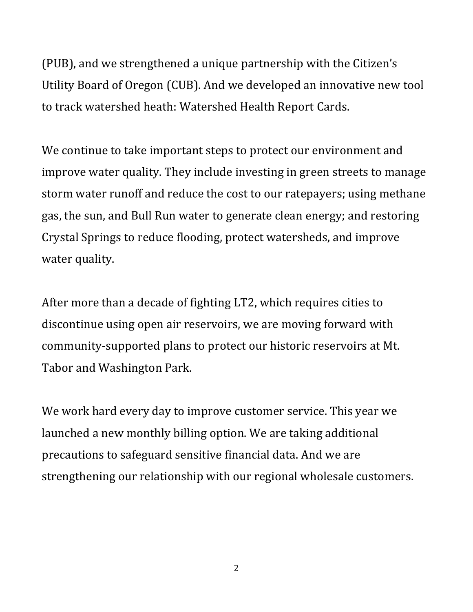(PUB), and we strengthened a unique partnership with the Citizen's Utility Board of Oregon (CUB). And we developed an innovative new tool to track watershed heath: Watershed Health Report Cards.

We continue to take important steps to protect our environment and improve water quality. They include investing in green streets to manage storm water runoff and reduce the cost to our ratepayers; using methane gas, the sun, and Bull Run water to generate clean energy; and restoring Crystal Springs to reduce flooding, protect watersheds, and improve water quality.

After more than a decade of fighting LT2, which requires cities to discontinue using open air reservoirs, we are moving forward with community-supported plans to protect our historic reservoirs at Mt. Tabor and Washington Park.

We work hard every day to improve customer service. This year we launched a new monthly billing option. We are taking additional precautions to safeguard sensitive financial data. And we are strengthening our relationship with our regional wholesale customers.

2